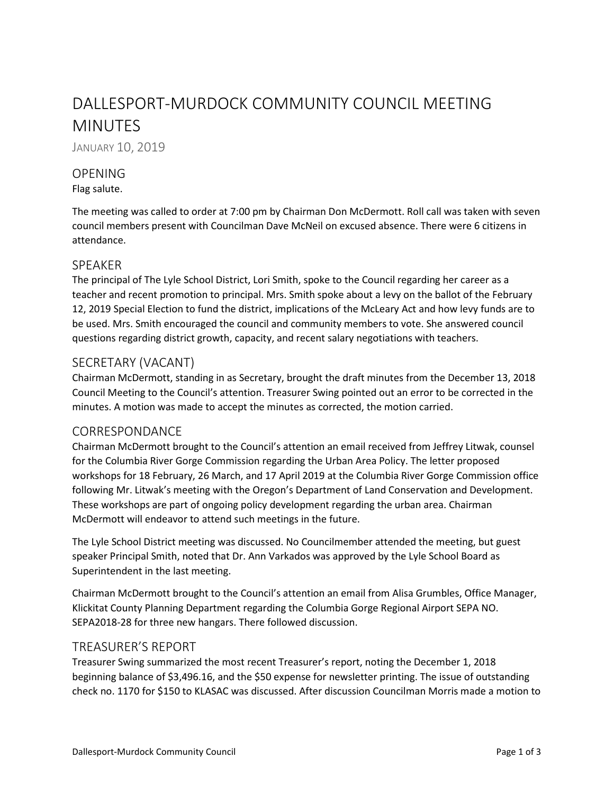# DALLESPORT-MURDOCK COMMUNITY COUNCIL MEETING MINUTES

JANUARY 10, 2019

# **OPENING**

#### Flag salute.

The meeting was called to order at 7:00 pm by Chairman Don McDermott. Roll call was taken with seven council members present with Councilman Dave McNeil on excused absence. There were 6 citizens in attendance.

## SPEAKER

The principal of The Lyle School District, Lori Smith, spoke to the Council regarding her career as a teacher and recent promotion to principal. Mrs. Smith spoke about a levy on the ballot of the February 12, 2019 Special Election to fund the district, implications of the McLeary Act and how levy funds are to be used. Mrs. Smith encouraged the council and community members to vote. She answered council questions regarding district growth, capacity, and recent salary negotiations with teachers.

# SECRETARY (VACANT)

Chairman McDermott, standing in as Secretary, brought the draft minutes from the December 13, 2018 Council Meeting to the Council's attention. Treasurer Swing pointed out an error to be corrected in the minutes. A motion was made to accept the minutes as corrected, the motion carried.

# CORRESPONDANCE

Chairman McDermott brought to the Council's attention an email received from Jeffrey Litwak, counsel for the Columbia River Gorge Commission regarding the Urban Area Policy. The letter proposed workshops for 18 February, 26 March, and 17 April 2019 at the Columbia River Gorge Commission office following Mr. Litwak's meeting with the Oregon's Department of Land Conservation and Development. These workshops are part of ongoing policy development regarding the urban area. Chairman McDermott will endeavor to attend such meetings in the future.

The Lyle School District meeting was discussed. No Councilmember attended the meeting, but guest speaker Principal Smith, noted that Dr. Ann Varkados was approved by the Lyle School Board as Superintendent in the last meeting.

Chairman McDermott brought to the Council's attention an email from Alisa Grumbles, Office Manager, Klickitat County Planning Department regarding the Columbia Gorge Regional Airport SEPA NO. SEPA2018-28 for three new hangars. There followed discussion.

## TREASURER'S REPORT

Treasurer Swing summarized the most recent Treasurer's report, noting the December 1, 2018 beginning balance of \$3,496.16, and the \$50 expense for newsletter printing. The issue of outstanding check no. 1170 for \$150 to KLASAC was discussed. After discussion Councilman Morris made a motion to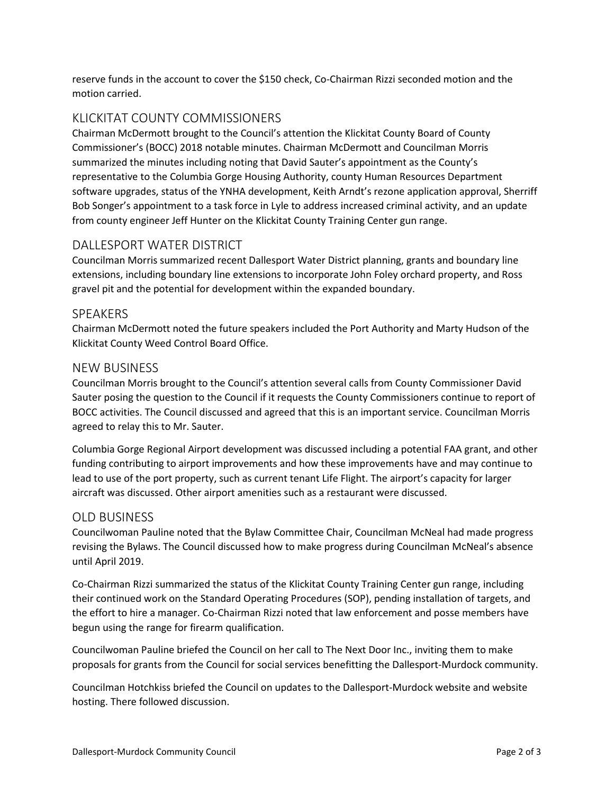reserve funds in the account to cover the \$150 check, Co-Chairman Rizzi seconded motion and the motion carried.

# KLICKITAT COUNTY COMMISSIONERS

Chairman McDermott brought to the Council's attention the Klickitat County Board of County Commissioner's (BOCC) 2018 notable minutes. Chairman McDermott and Councilman Morris summarized the minutes including noting that David Sauter's appointment as the County's representative to the Columbia Gorge Housing Authority, county Human Resources Department software upgrades, status of the YNHA development, Keith Arndt's rezone application approval, Sherriff Bob Songer's appointment to a task force in Lyle to address increased criminal activity, and an update from county engineer Jeff Hunter on the Klickitat County Training Center gun range.

# DALLESPORT WATER DISTRICT

Councilman Morris summarized recent Dallesport Water District planning, grants and boundary line extensions, including boundary line extensions to incorporate John Foley orchard property, and Ross gravel pit and the potential for development within the expanded boundary.

# SPEAKERS

Chairman McDermott noted the future speakers included the Port Authority and Marty Hudson of the Klickitat County Weed Control Board Office.

# NEW BUSINESS

Councilman Morris brought to the Council's attention several calls from County Commissioner David Sauter posing the question to the Council if it requests the County Commissioners continue to report of BOCC activities. The Council discussed and agreed that this is an important service. Councilman Morris agreed to relay this to Mr. Sauter.

Columbia Gorge Regional Airport development was discussed including a potential FAA grant, and other funding contributing to airport improvements and how these improvements have and may continue to lead to use of the port property, such as current tenant Life Flight. The airport's capacity for larger aircraft was discussed. Other airport amenities such as a restaurant were discussed.

## OLD BUSINESS

Councilwoman Pauline noted that the Bylaw Committee Chair, Councilman McNeal had made progress revising the Bylaws. The Council discussed how to make progress during Councilman McNeal's absence until April 2019.

Co-Chairman Rizzi summarized the status of the Klickitat County Training Center gun range, including their continued work on the Standard Operating Procedures (SOP), pending installation of targets, and the effort to hire a manager. Co-Chairman Rizzi noted that law enforcement and posse members have begun using the range for firearm qualification.

Councilwoman Pauline briefed the Council on her call to The Next Door Inc., inviting them to make proposals for grants from the Council for social services benefitting the Dallesport-Murdock community.

Councilman Hotchkiss briefed the Council on updates to the Dallesport-Murdock website and website hosting. There followed discussion.